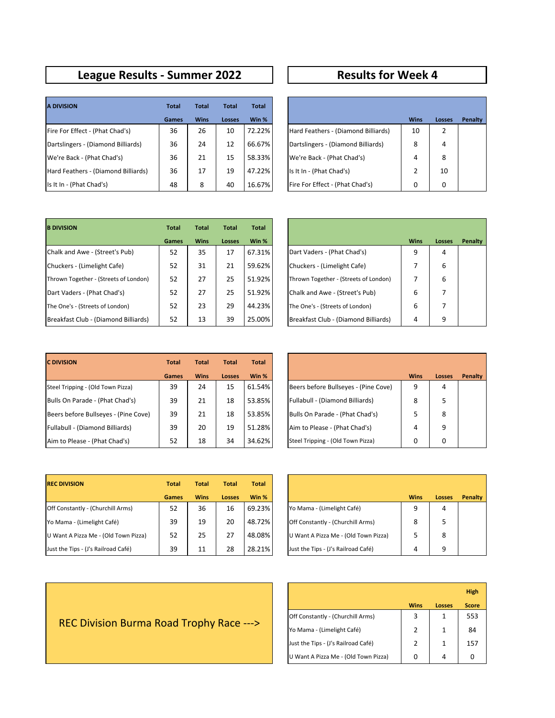## **League Results - Summer 2022 Results for Week 4**

| <b>A DIVISION</b>                   | <b>Total</b> | <b>Total</b> | <b>Total</b> | <b>Total</b> |                                     |             |          |
|-------------------------------------|--------------|--------------|--------------|--------------|-------------------------------------|-------------|----------|
|                                     | Games        | <b>Wins</b>  | Losses       | Win %        |                                     | <b>Wins</b> | Loss     |
| Fire For Effect - (Phat Chad's)     | 36           | 26           | 10           | 72.22%       | Hard Feathers - (Diamond Billiards) | 10          | 2        |
| Dartslingers - (Diamond Billiards)  | 36           | 24           | 12           | 66.67%       | Dartslingers - (Diamond Billiards)  | 8           | 4        |
| We're Back - (Phat Chad's)          | 36           | 21           | 15           | 58.33%       | We're Back - (Phat Chad's)          | 4           | 8        |
| Hard Feathers - (Diamond Billiards) | 36           | 17           | 19           | 47.22%       | Is It In - (Phat Chad's)            |             | 10       |
| Is It In - (Phat Chad's)            | 48           | 8            | 40           | 16.67%       | Fire For Effect - (Phat Chad's)     | 0           | $\Omega$ |

| <b>Total</b> | <b>Total</b> | <b>Total</b>  | <b>Total</b> |                                     |             |               |         |
|--------------|--------------|---------------|--------------|-------------------------------------|-------------|---------------|---------|
| Games        | <b>Wins</b>  | <b>Losses</b> | Win %        |                                     | <b>Wins</b> | <b>Losses</b> | Penalty |
| 36           | 26           | 10            | 72.22%       | Hard Feathers - (Diamond Billiards) | 10          | 2             |         |
| 36           | 24           | 12            | 66.67%       | Dartslingers - (Diamond Billiards)  | 8           | 4             |         |
| 36           | 21           | 15            | 58.33%       | We're Back - (Phat Chad's)          | 4           | 8             |         |
| 36           | 17           | 19            | 47.22%       | Is It In - (Phat Chad's)            | 2           | 10            |         |
| 48           | 8            | 40            | 16.67%       | Fire For Effect - (Phat Chad's)     | 0           | 0             |         |

| <b>B DIVISION</b>                     | <b>Total</b> | <b>Total</b> | <b>Total</b>  | <b>Total</b> |                                       |             |      |
|---------------------------------------|--------------|--------------|---------------|--------------|---------------------------------------|-------------|------|
|                                       | <b>Games</b> | <b>Wins</b>  | <b>Losses</b> | Win %        |                                       | <b>Wins</b> | Loss |
| Chalk and Awe - (Street's Pub)        | 52           | 35           | 17            | 67.31%       | Dart Vaders - (Phat Chad's)           | 9           | 4    |
| Chuckers - (Limelight Cafe)           | 52           | 31           | 21            | 59.62%       | Chuckers - (Limelight Cafe)           |             | 6    |
| Thrown Together - (Streets of London) | 52           | 27           | 25            | 51.92%       | Thrown Together - (Streets of London) |             | 6    |
| Dart Vaders - (Phat Chad's)           | 52           | 27           | 25            | 51.92%       | Chalk and Awe - (Street's Pub)        | 6           | 7    |
| The One's - (Streets of London)       | 52           | 23           | 29            | 44.23%       | The One's - (Streets of London)       | 6           | 7    |
| Breakfast Club - (Diamond Billiards)  | 52           | 13           | 39            | 25.00%       | Breakfast Club - (Diamond Billiards)  | 4           | 9    |

| <b>Total</b> | <b>Total</b> | <b>Total</b> | <b>Total</b> |                                       |             |               |         |
|--------------|--------------|--------------|--------------|---------------------------------------|-------------|---------------|---------|
| Games        | <b>Wins</b>  | Losses       | Win %        |                                       | <b>Wins</b> | <b>Losses</b> | Penalty |
| 52           | 35           | 17           | 67.31%       | Dart Vaders - (Phat Chad's)           | 9           | 4             |         |
| 52           | 31           | 21           | 59.62%       | Chuckers - (Limelight Cafe)           | 7           | 6             |         |
| 52           | 27           | 25           | 51.92%       | Thrown Together - (Streets of London) | 7           | 6             |         |
| 52           | 27           | 25           | 51.92%       | Chalk and Awe - (Street's Pub)        | 6           | 7             |         |
| 52           | 23           | 29           | 44.23%       | The One's - (Streets of London)       | 6           | 7             |         |
| 52           | 13           | 39           | 25.00%       | Breakfast Club - (Diamond Billiards)  | 4           | 9             |         |

| <b>C DIVISION</b>                    | <b>Total</b> | <b>Total</b> | <b>Total</b>  | <b>Total</b> |                                      |             |      |
|--------------------------------------|--------------|--------------|---------------|--------------|--------------------------------------|-------------|------|
|                                      | <b>Games</b> | <b>Wins</b>  | <b>Losses</b> | Win %        |                                      | <b>Wins</b> | Loss |
| Steel Tripping - (Old Town Pizza)    | 39           | 24           | 15            | 61.54%       | Beers before Bullseyes - (Pine Cove) | 9           | 4    |
| Bulls On Parade - (Phat Chad's)      | 39           | 21           | 18            | 53.85%       | Fullabull - (Diamond Billiards)      | 8           | 5    |
| Beers before Bullseyes - (Pine Cove) | 39           | 21           | 18            | 53.85%       | Bulls On Parade - (Phat Chad's)      |             | 8    |
| Fullabull - (Diamond Billiards)      | 39           | 20           | 19            | 51.28%       | Aim to Please - (Phat Chad's)        | 4           | 9    |
| Aim to Please - (Phat Chad's)        | 52           | 18           | 34            | 34.62%       | Steel Tripping - (Old Town Pizza)    | 0           | 0    |

| <b>Total</b> | <b>Total</b> | <b>Total</b>  | <b>Total</b> |                                      |             |               |         |
|--------------|--------------|---------------|--------------|--------------------------------------|-------------|---------------|---------|
| <b>Games</b> | <b>Wins</b>  | <b>Losses</b> | Win %        |                                      | <b>Wins</b> | <b>Losses</b> | Penalty |
| 39           | 24           | 15            | 61.54%       | Beers before Bullseyes - (Pine Cove) | 9           | 4             |         |
| 39           | 21           | 18            | 53.85%       | Fullabull - (Diamond Billiards)      | 8           | 5             |         |
| 39           | 21           | 18            | 53.85%       | Bulls On Parade - (Phat Chad's)      | 5           | 8             |         |
| 39           | 20           | 19            | 51.28%       | Aim to Please - (Phat Chad's)        | 4           | 9             |         |
| 52           | 18           | 34            | 34.62%       | Steel Tripping - (Old Town Pizza)    | 0           | 0             |         |

| <b>REC DIVISION</b>                  | <b>Total</b> | <b>Total</b> | <b>Total</b> | <b>Total</b> |                                      |             |      |
|--------------------------------------|--------------|--------------|--------------|--------------|--------------------------------------|-------------|------|
|                                      | <b>Games</b> | <b>Wins</b>  | Losses       | Win %        |                                      | <b>Wins</b> | Loss |
| Off Constantly - (Churchill Arms)    | 52           | 36           | 16           | 69.23%       | Yo Mama - (Limelight Café)           | 9           | 4    |
| Yo Mama - (Limelight Café)           | 39           | 19           | 20           | 48.72%       | Off Constantly - (Churchill Arms)    | 8           | 5    |
| U Want A Pizza Me - (Old Town Pizza) | 52           | 25           | 27           | 48.08%       | U Want A Pizza Me - (Old Town Pizza) |             | 8    |
| Just the Tips - (J's Railroad Café)  | 39           | 11           | 28           | 28.21%       | Just the Tips - (J's Railroad Café)  | 4           | 9    |

| <b>Total</b> | <b>Total</b> | <b>Total</b>  | <b>Total</b> |                                      |             |               |         |
|--------------|--------------|---------------|--------------|--------------------------------------|-------------|---------------|---------|
| <b>Games</b> | <b>Wins</b>  | <b>Losses</b> | Win %        |                                      | <b>Wins</b> | <b>Losses</b> | Penalty |
| 52           | 36           | 16            | 69.23%       | Yo Mama - (Limelight Café)           | 9           | 4             |         |
| 39           | 19           | 20            | 48.72%       | Off Constantly - (Churchill Arms)    | 8           | 5             |         |
| 52           | 25           | 27            | 48.08%       | U Want A Pizza Me - (Old Town Pizza) | 5           | 8             |         |
| 39           | 11           | 28            | 28.21%       | Just the Tips - (J's Railroad Café)  | 4           | 9             |         |

|                                      |             |               | <b>High</b>  |
|--------------------------------------|-------------|---------------|--------------|
|                                      | <b>Wins</b> | <b>Losses</b> | <b>Score</b> |
| Off Constantly - (Churchill Arms)    | 3           | 1             | 553          |
| Yo Mama - (Limelight Café)           | 2           | 1             | 84           |
| Just the Tips - (J's Railroad Café)  | 2           | 1             | 157          |
| U Want A Pizza Me - (Old Town Pizza) | 0           | 4             |              |

## REC Division Burma Road Trophy Race --->